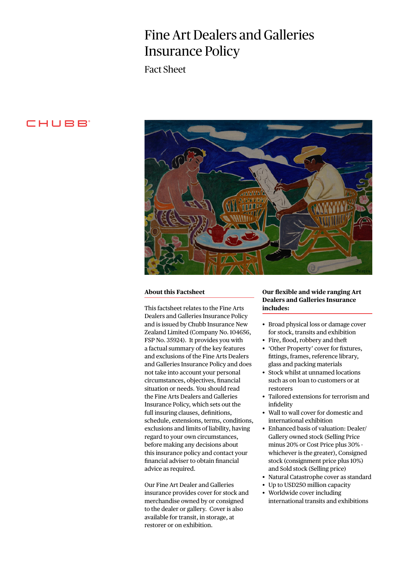# Fine Art Dealers and Galleries Insurance Policy

Fact Sheet

# CHUBB<sup>®</sup>



#### **About this Factsheet**

This factsheet relates to the Fine Arts Dealers and Galleries Insurance Policy and is issued by Chubb Insurance New Zealand Limited (Company No. 104656, FSP No. 35924). It provides you with a factual summary of the key features and exclusions of the Fine Arts Dealers and Galleries Insurance Policy and does not take into account your personal circumstances, objectives, financial situation or needs. You should read the Fine Arts Dealers and Galleries Insurance Policy, which sets out the full insuring clauses, definitions, schedule, extensions, terms, conditions, exclusions and limits of liability, having regard to your own circumstances, before making any decisions about this insurance policy and contact your financial adviser to obtain financial advice as required.

Our Fine Art Dealer and Galleries insurance provides cover for stock and merchandise owned by or consigned to the dealer or gallery. Cover is also available for transit, in storage, at restorer or on exhibition.

## **Our flexible and wide ranging Art Dealers and Galleries Insurance includes:**

- Broad physical loss or damage cover for stock, transits and exhibition
- Fire, flood, robbery and theft
- 'Other Property' cover for fixtures, fittings, frames, reference library, glass and packing materials
- Stock whilst at unnamed locations such as on loan to customers or at restorers
- Tailored extensions for terrorism and infidelity
- Wall to wall cover for domestic and international exhibition
- Enhanced basis of valuation: Dealer/ Gallery owned stock (Selling Price minus 20% or Cost Price plus 30% whichever is the greater), Consigned stock (consignment price plus 10%) and Sold stock (Selling price)
- Natural Catastrophe cover as standard
- Up to USD250 million capacity
- Worldwide cover including international transits and exhibitions